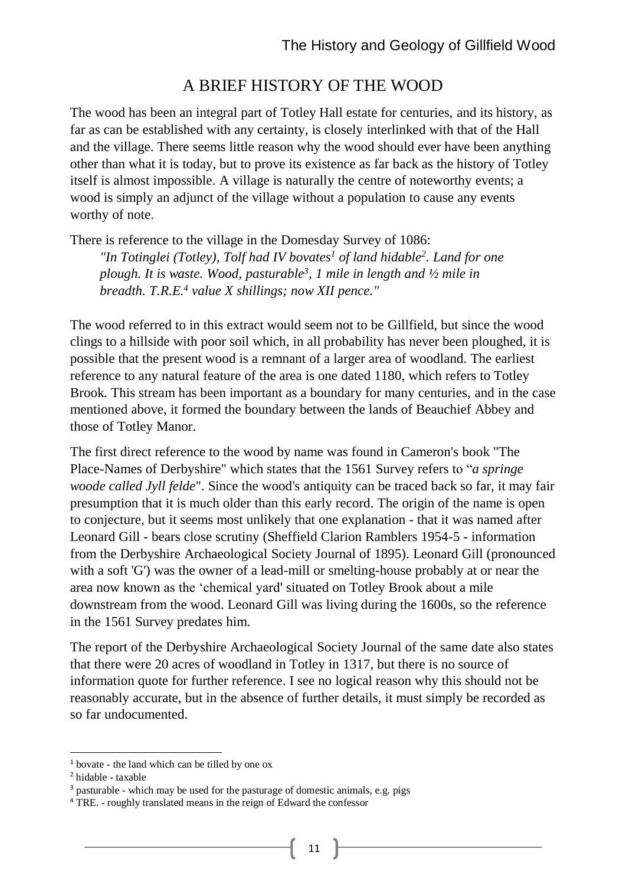# A BRIEF HISTORY OF THE WOOD

The wood has been an integral part of Totley Hall estate for centuries, and its history, as far as can be established with any certainty, is closely interlinked with that of the Hall and the village. There seems little reason why the wood should ever have been anything other than what it is today, but to prove its existence as far back as the history of Totley itself is almost impossible. A village is naturally the centre of noteworthy events; a wood is simply an adjunct of the village without a population to cause any events worthy of note.

There is reference to the village in the Domesday Survey of 1086:

*"In Totinglei (Totley), Tolf had IV bovates<sup>1</sup> of land hidable<sup>2</sup> . Land for one plough. It is waste. Wood, pasturable<sup>3</sup> , 1 mile in length and ½ mile in breadth. T.R.E.<sup>4</sup> value X shillings; now XII pence."*

The wood referred to in this extract would seem not to be Gillfield, but since the wood clings to a hillside with poor soil which, in all probability has never been ploughed, it is possible that the present wood is a remnant of a larger area of woodland. The earliest reference to any natural feature of the area is one dated 1180, which refers to Totley Brook. This stream has been important as a boundary for many centuries, and in the case mentioned above, it formed the boundary between the lands of Beauchief Abbey and those of Totley Manor.

The first direct reference to the wood by name was found in Cameron's book "The Place-Names of Derbyshire" which states that the 1561 Survey refers to "*a springe woode called Jyll felde*". Since the wood's antiquity can be traced back so far, it may fair presumption that it is much older than this early record. The origin of the name is open to conjecture, but it seems most unlikely that one explanation - that it was named after Leonard Gill - bears close scrutiny (Sheffield Clarion Ramblers 1954-5 - information from the Derbyshire Archaeological Society Journal of 1895). Leonard Gill (pronounced with a soft 'G') was the owner of a lead-mill or smelting-house probably at or near the area now known as the 'chemical yard' situated on Totley Brook about a mile downstream from the wood. Leonard Gill was living during the 1600s, so the reference in the 1561 Survey predates him.

The report of the Derbyshire Archaeological Society Journal of the same date also states that there were 20 acres of woodland in Totley in 1317, but there is no source of information quote for further reference. I see no logical reason why this should not be reasonably accurate, but in the absence of further details, it must simply be recorded as so far undocumented.

-

<sup>1</sup> bovate - the land which can be tilled by one ox

<sup>2</sup> hidable - taxable

<sup>&</sup>lt;sup>3</sup> pasturable - which may be used for the pasturage of domestic animals, e.g. pigs

<sup>4</sup> TRE. - roughly translated means in the reign of Edward the confessor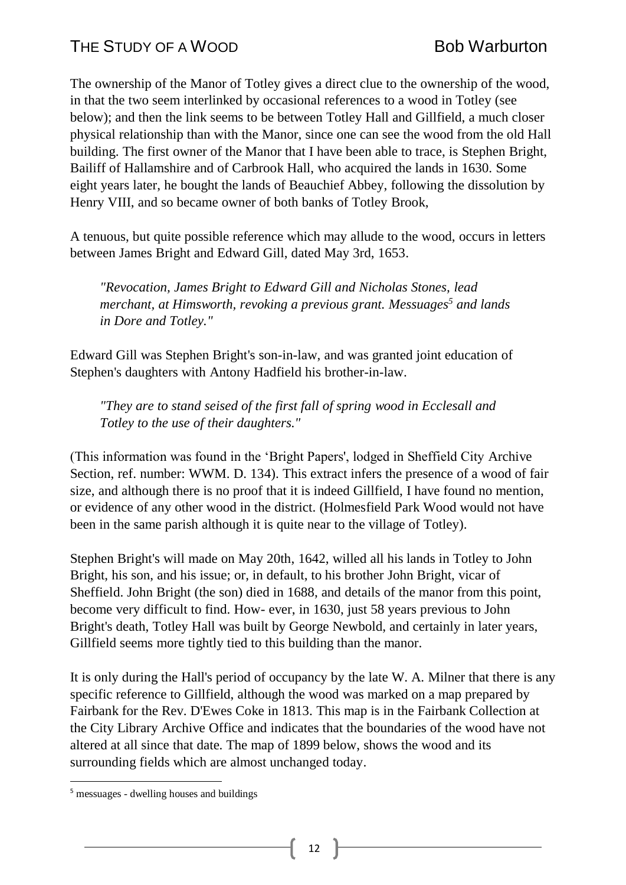The ownership of the Manor of Totley gives a direct clue to the ownership of the wood, in that the two seem interlinked by occasional references to a wood in Totley (see below); and then the link seems to be between Totley Hall and Gillfield, a much closer physical relationship than with the Manor, since one can see the wood from the old Hall building. The first owner of the Manor that I have been able to trace, is Stephen Bright, Bailiff of Hallamshire and of Carbrook Hall, who acquired the lands in 1630. Some eight years later, he bought the lands of Beauchief Abbey, following the dissolution by Henry VIII, and so became owner of both banks of Totley Brook,

A tenuous, but quite possible reference which may allude to the wood, occurs in letters between James Bright and Edward Gill, dated May 3rd, 1653.

*"Revocation, James Bright to Edward Gill and Nicholas Stones, lead merchant, at Himsworth, revoking a previous grant. Messuages<sup>5</sup> and lands in Dore and Totley."*

Edward Gill was Stephen Bright's son-in-law, and was granted joint education of Stephen's daughters with Antony Hadfield his brother-in-law.

*"They are to stand seised of the first fall of spring wood in Ecclesall and Totley to the use of their daughters."*

(This information was found in the 'Bright Papers', lodged in Sheffield City Archive Section, ref. number: WWM. D. 134). This extract infers the presence of a wood of fair size, and although there is no proof that it is indeed Gillfield, I have found no mention, or evidence of any other wood in the district. (Holmesfield Park Wood would not have been in the same parish although it is quite near to the village of Totley).

Stephen Bright's will made on May 20th, 1642, willed all his lands in Totley to John Bright, his son, and his issue; or, in default, to his brother John Bright, vicar of Sheffield. John Bright (the son) died in 1688, and details of the manor from this point, become very difficult to find. How- ever, in 1630, just 58 years previous to John Bright's death, Totley Hall was built by George Newbold, and certainly in later years, Gillfield seems more tightly tied to this building than the manor.

It is only during the Hall's period of occupancy by the late W. A. Milner that there is any specific reference to Gillfield, although the wood was marked on a map prepared by Fairbank for the Rev. D'Ewes Coke in 1813. This map is in the Fairbank Collection at the City Library Archive Office and indicates that the boundaries of the wood have not altered at all since that date. The map of 1899 below, shows the wood and its surrounding fields which are almost unchanged today.

1

12

<sup>&</sup>lt;sup>5</sup> messuages - dwelling houses and buildings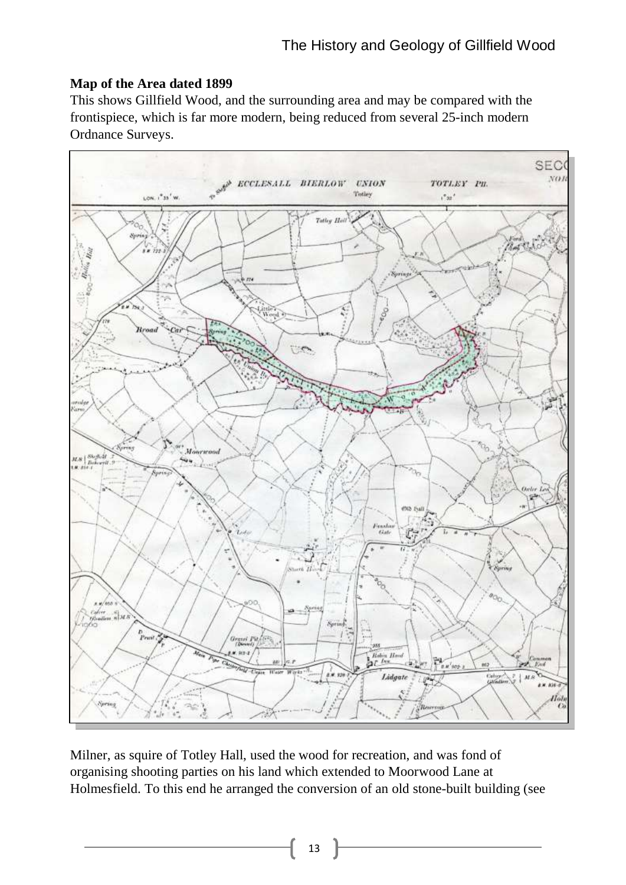## **Map of the Area dated 1899**

This shows Gillfield Wood, and the surrounding area and may be compared with the frontispiece, which is far more modern, being reduced from several 25-inch modern Ordnance Surveys.



Milner, as squire of Totley Hall, used the wood for recreation, and was fond of organising shooting parties on his land which extended to Moorwood Lane at Holmesfield. To this end he arranged the conversion of an old stone-built building (see

13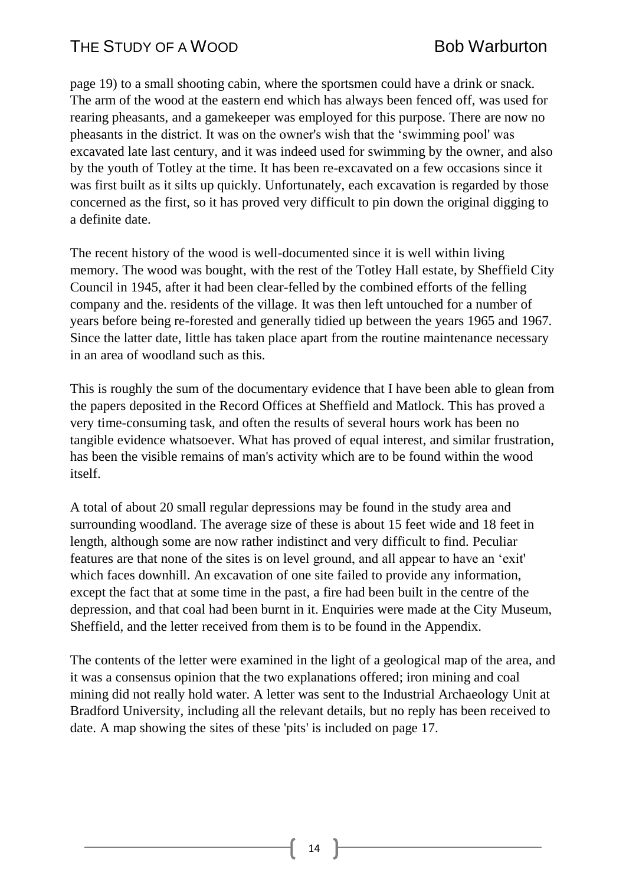page 19) to a small shooting cabin, where the sportsmen could have a drink or snack. The arm of the wood at the eastern end which has always been fenced off, was used for rearing pheasants, and a gamekeeper was employed for this purpose. There are now no pheasants in the district. It was on the owner's wish that the 'swimming pool' was excavated late last century, and it was indeed used for swimming by the owner, and also by the youth of Totley at the time. It has been re-excavated on a few occasions since it was first built as it silts up quickly. Unfortunately, each excavation is regarded by those concerned as the first, so it has proved very difficult to pin down the original digging to a definite date.

The recent history of the wood is well-documented since it is well within living memory. The wood was bought, with the rest of the Totley Hall estate, by Sheffield City Council in 1945, after it had been clear-felled by the combined efforts of the felling company and the. residents of the village. It was then left untouched for a number of years before being re-forested and generally tidied up between the years 1965 and 1967. Since the latter date, little has taken place apart from the routine maintenance necessary in an area of woodland such as this.

This is roughly the sum of the documentary evidence that I have been able to glean from the papers deposited in the Record Offices at Sheffield and Matlock. This has proved a very time-consuming task, and often the results of several hours work has been no tangible evidence whatsoever. What has proved of equal interest, and similar frustration, has been the visible remains of man's activity which are to be found within the wood itself.

A total of about 20 small regular depressions may be found in the study area and surrounding woodland. The average size of these is about 15 feet wide and 18 feet in length, although some are now rather indistinct and very difficult to find. Peculiar features are that none of the sites is on level ground, and all appear to have an 'exit' which faces downhill. An excavation of one site failed to provide any information, except the fact that at some time in the past, a fire had been built in the centre of the depression, and that coal had been burnt in it. Enquiries were made at the City Museum, Sheffield, and the letter received from them is to be found in the Appendix.

The contents of the letter were examined in the light of a geological map of the area, and it was a consensus opinion that the two explanations offered; iron mining and coal mining did not really hold water. A letter was sent to the Industrial Archaeology Unit at Bradford University, including all the relevant details, but no reply has been received to date. A map showing the sites of these 'pits' is included on page 17.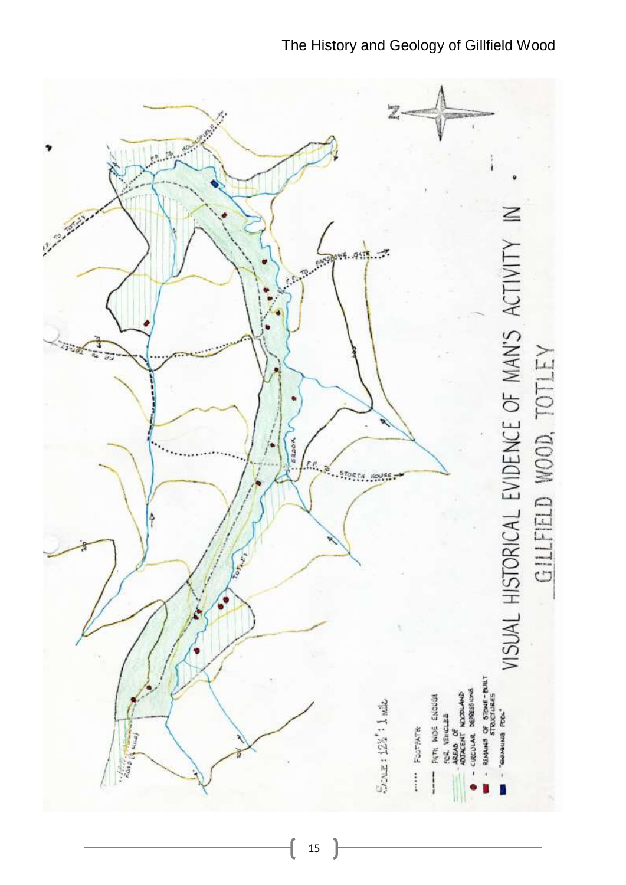

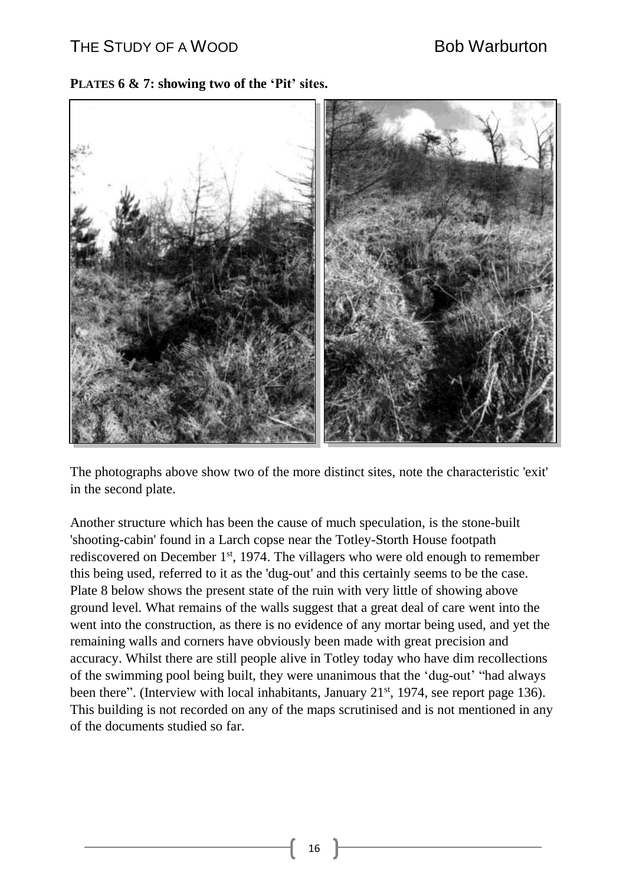### **PLATES 6 & 7: showing two of the 'Pit' sites.**



The photographs above show two of the more distinct sites, note the characteristic 'exit' in the second plate.

Another structure which has been the cause of much speculation, is the stone-built 'shooting-cabin' found in a Larch copse near the Totley-Storth House footpath rediscovered on December 1<sup>st</sup>, 1974. The villagers who were old enough to remember this being used, referred to it as the 'dug-out' and this certainly seems to be the case. Plate 8 below shows the present state of the ruin with very little of showing above ground level. What remains of the walls suggest that a great deal of care went into the went into the construction, as there is no evidence of any mortar being used, and yet the remaining walls and corners have obviously been made with great precision and accuracy. Whilst there are still people alive in Totley today who have dim recollections of the swimming pool being built, they were unanimous that the 'dug-out' "had always been there". (Interview with local inhabitants, January  $21<sup>st</sup>$ , 1974, see report page 136). This building is not recorded on any of the maps scrutinised and is not mentioned in any of the documents studied so far.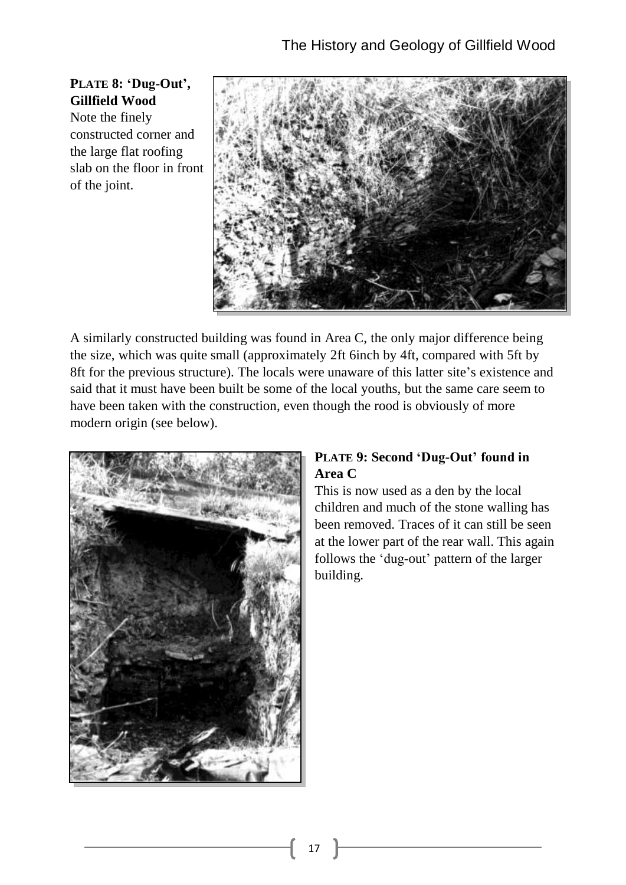**PLATE 8: 'Dug-Out', Gillfield Wood** Note the finely constructed corner and the large flat roofing slab on the floor in front of the joint.



A similarly constructed building was found in Area C, the only major difference being the size, which was quite small (approximately 2ft 6inch by 4ft, compared with 5ft by 8ft for the previous structure). The locals were unaware of this latter site's existence and said that it must have been built be some of the local youths, but the same care seem to have been taken with the construction, even though the rood is obviously of more modern origin (see below).



## **PLATE 9: Second 'Dug-Out' found in Area C**

This is now used as a den by the local children and much of the stone walling has been removed. Traces of it can still be seen at the lower part of the rear wall. This again follows the 'dug-out' pattern of the larger building.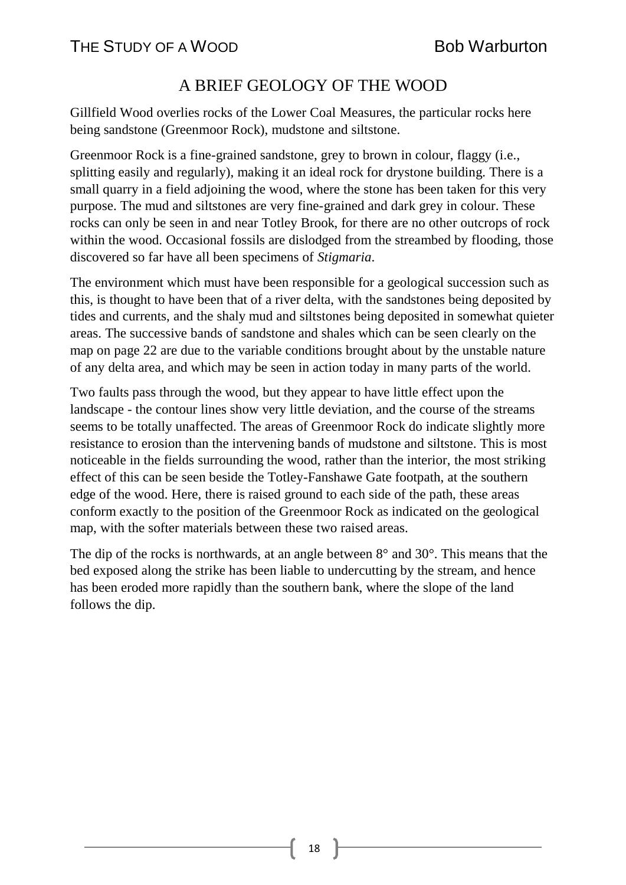# A BRIEF GEOLOGY OF THE WOOD

Gillfield Wood overlies rocks of the Lower Coal Measures, the particular rocks here being sandstone (Greenmoor Rock), mudstone and siltstone.

Greenmoor Rock is a fine-grained sandstone, grey to brown in colour, flaggy (i.e., splitting easily and regularly), making it an ideal rock for drystone building. There is a small quarry in a field adjoining the wood, where the stone has been taken for this very purpose. The mud and siltstones are very fine-grained and dark grey in colour. These rocks can only be seen in and near Totley Brook, for there are no other outcrops of rock within the wood. Occasional fossils are dislodged from the streambed by flooding, those discovered so far have all been specimens of *Stigmaria*.

The environment which must have been responsible for a geological succession such as this, is thought to have been that of a river delta, with the sandstones being deposited by tides and currents, and the shaly mud and siltstones being deposited in somewhat quieter areas. The successive bands of sandstone and shales which can be seen clearly on the map on page 22 are due to the variable conditions brought about by the unstable nature of any delta area, and which may be seen in action today in many parts of the world.

Two faults pass through the wood, but they appear to have little effect upon the landscape - the contour lines show very little deviation, and the course of the streams seems to be totally unaffected. The areas of Greenmoor Rock do indicate slightly more resistance to erosion than the intervening bands of mudstone and siltstone. This is most noticeable in the fields surrounding the wood, rather than the interior, the most striking effect of this can be seen beside the Totley-Fanshawe Gate footpath, at the southern edge of the wood. Here, there is raised ground to each side of the path, these areas conform exactly to the position of the Greenmoor Rock as indicated on the geological map, with the softer materials between these two raised areas.

The dip of the rocks is northwards, at an angle between  $8^\circ$  and  $30^\circ$ . This means that the bed exposed along the strike has been liable to undercutting by the stream, and hence has been eroded more rapidly than the southern bank, where the slope of the land follows the dip.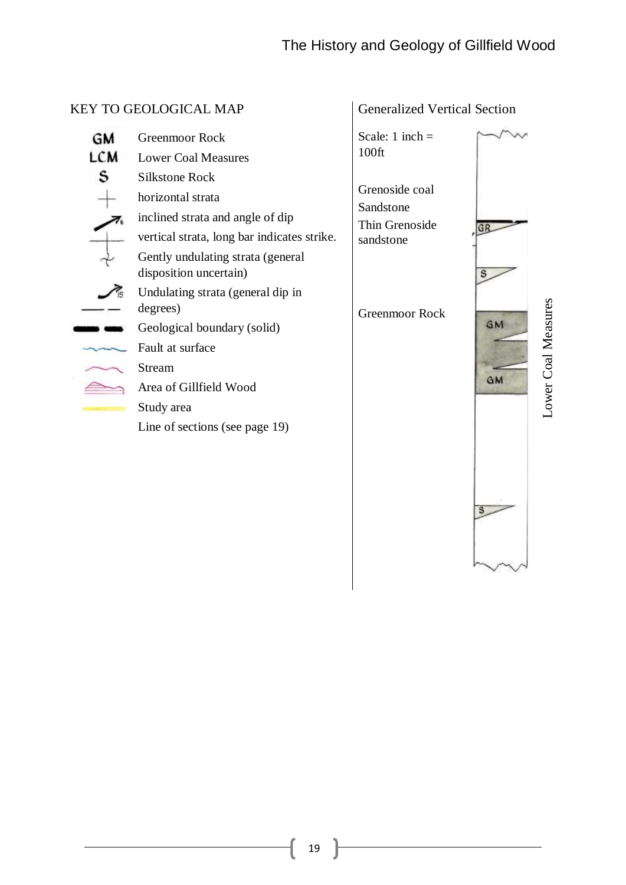**A** 

|                | <b>KEY TO GEOLOGICAL MAP</b>                                                                                                                                                                                                                                                                                                                                                                                                                | <b>Generalized Vertical Section</b>                                                                               |                       |                    |
|----------------|---------------------------------------------------------------------------------------------------------------------------------------------------------------------------------------------------------------------------------------------------------------------------------------------------------------------------------------------------------------------------------------------------------------------------------------------|-------------------------------------------------------------------------------------------------------------------|-----------------------|--------------------|
| GM<br>LCM<br>s | <b>Greenmoor Rock</b><br><b>Lower Coal Measures</b><br><b>Silkstone Rock</b><br>horizontal strata<br>inclined strata and angle of dip<br>vertical strata, long bar indicates strike.<br>Gently undulating strata (general<br>disposition uncertain)<br>Undulating strata (general dip in<br>degrees)<br>Geological boundary (solid)<br>Fault at surface<br>Stream<br>Area of Gillfield Wood<br>Study area<br>Line of sections (see page 19) | Scale: $1$ inch =<br>100ft<br>Grenoside coal<br>Sandstone<br>Thin Grenoside<br>sandstone<br><b>Greenmoor Rock</b> | GF<br><b>GM</b><br>GM | ower Coal Measures |
|                |                                                                                                                                                                                                                                                                                                                                                                                                                                             |                                                                                                                   |                       |                    |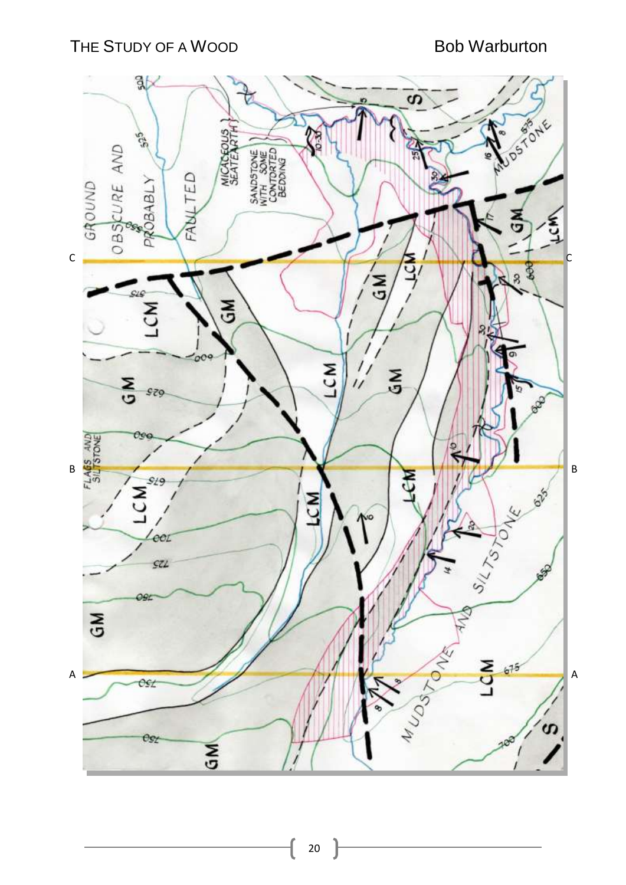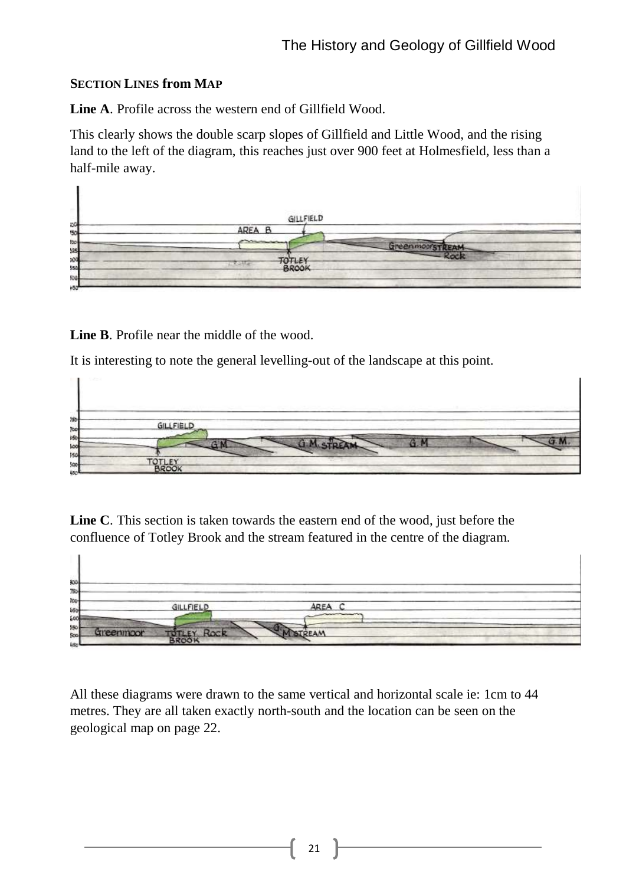## **SECTION LINES from MAP**

**Line A**. Profile across the western end of Gillfield Wood.

This clearly shows the double scarp slopes of Gillfield and Little Wood, and the rising land to the left of the diagram, this reaches just over 900 feet at Holmesfield, less than a half-mile away.

**Line B**. Profile near the middle of the wood.

It is interesting to note the general levelling-out of the landscape at this point.



**Line C**. This section is taken towards the eastern end of the wood, just before the confluence of Totley Brook and the stream featured in the centre of the diagram.



All these diagrams were drawn to the same vertical and horizontal scale ie: 1cm to 44 metres. They are all taken exactly north-south and the location can be seen on the geological map on page 22.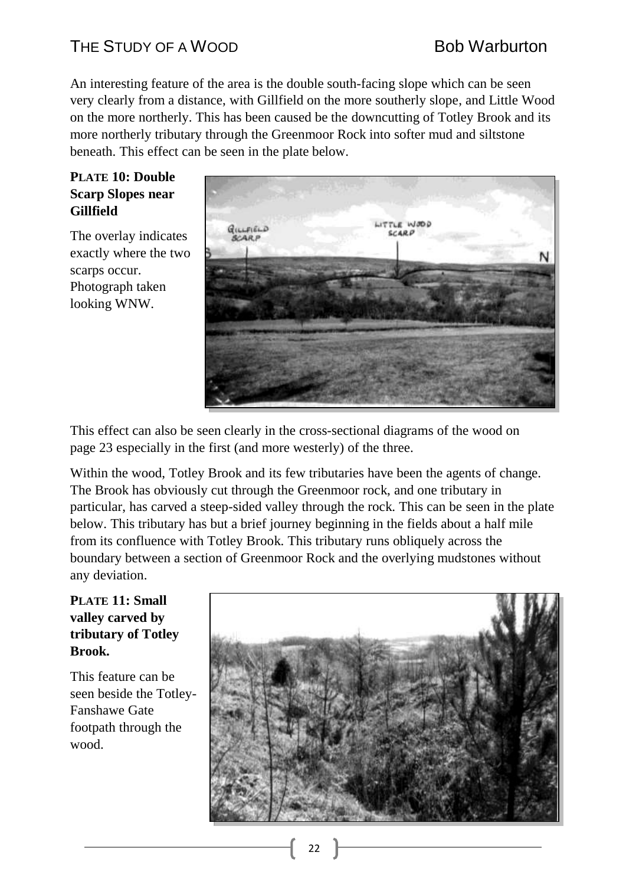An interesting feature of the area is the double south-facing slope which can be seen very clearly from a distance, with Gillfield on the more southerly slope, and Little Wood on the more northerly. This has been caused be the downcutting of Totley Brook and its more northerly tributary through the Greenmoor Rock into softer mud and siltstone beneath. This effect can be seen in the plate below.

### **PLATE 10: Double Scarp Slopes near Gillfield**

The overlay indicates exactly where the two scarps occur. Photograph taken looking WNW.



This effect can also be seen clearly in the cross-sectional diagrams of the wood on page 23 especially in the first (and more westerly) of the three.

Within the wood, Totley Brook and its few tributaries have been the agents of change. The Brook has obviously cut through the Greenmoor rock, and one tributary in particular, has carved a steep-sided valley through the rock. This can be seen in the plate below. This tributary has but a brief journey beginning in the fields about a half mile from its confluence with Totley Brook. This tributary runs obliquely across the boundary between a section of Greenmoor Rock and the overlying mudstones without any deviation.

## **PLATE 11: Small valley carved by tributary of Totley Brook.**

This feature can be seen beside the Totley-Fanshawe Gate footpath through the wood.

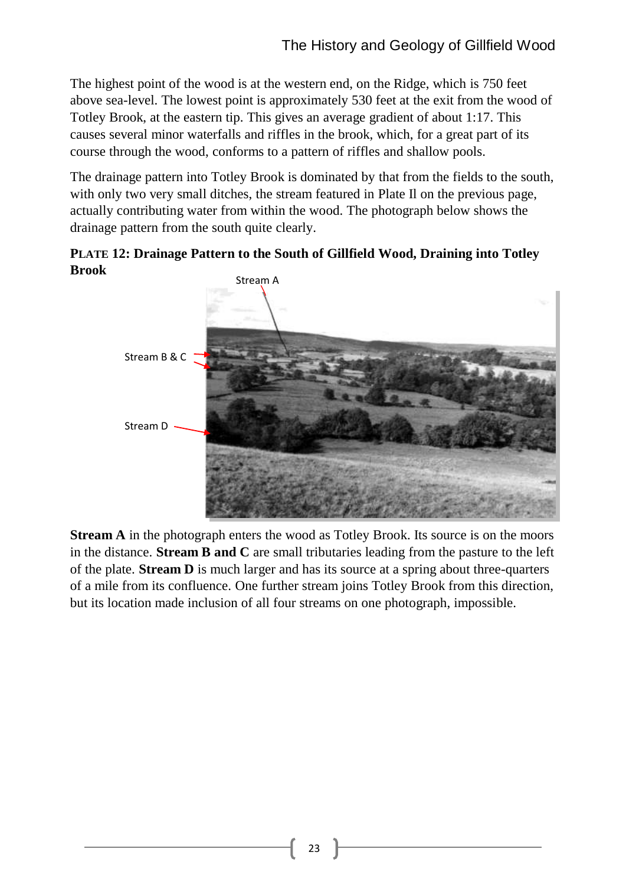The highest point of the wood is at the western end, on the Ridge, which is 750 feet above sea-level. The lowest point is approximately 530 feet at the exit from the wood of Totley Brook, at the eastern tip. This gives an average gradient of about 1:17. This causes several minor waterfalls and riffles in the brook, which, for a great part of its course through the wood, conforms to a pattern of riffles and shallow pools.

The drainage pattern into Totley Brook is dominated by that from the fields to the south, with only two very small ditches, the stream featured in Plate II on the previous page, actually contributing water from within the wood. The photograph below shows the drainage pattern from the south quite clearly.

**PLATE 12: Drainage Pattern to the South of Gillfield Wood, Draining into Totley Brook** 



**Stream A** in the photograph enters the wood as Totley Brook. Its source is on the moors in the distance. **Stream B and C** are small tributaries leading from the pasture to the left of the plate. **Stream D** is much larger and has its source at a spring about three-quarters of a mile from its confluence. One further stream joins Totley Brook from this direction, but its location made inclusion of all four streams on one photograph, impossible.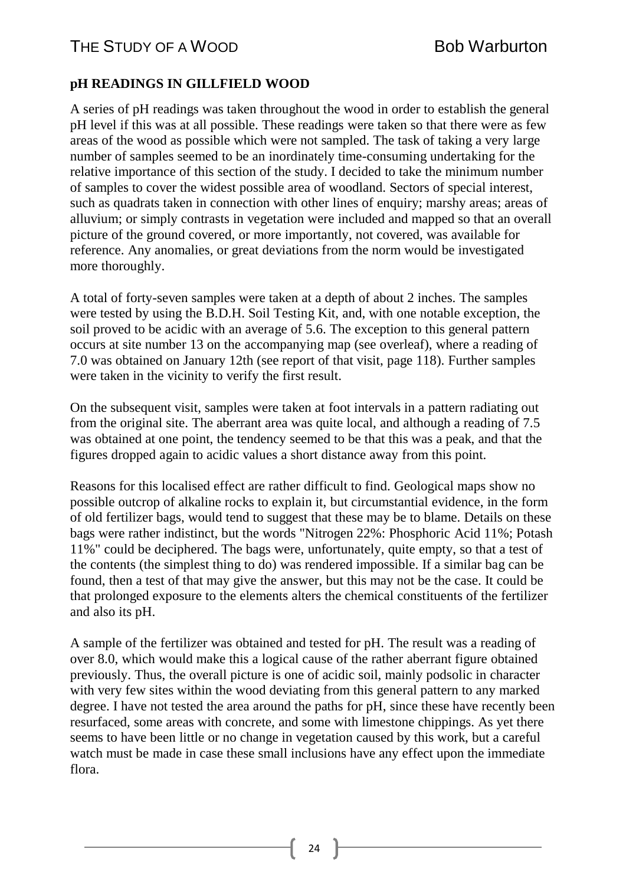## **pH READINGS IN GILLFIELD WOOD**

A series of pH readings was taken throughout the wood in order to establish the general pH level if this was at all possible. These readings were taken so that there were as few areas of the wood as possible which were not sampled. The task of taking a very large number of samples seemed to be an inordinately time-consuming undertaking for the relative importance of this section of the study. I decided to take the minimum number of samples to cover the widest possible area of woodland. Sectors of special interest, such as quadrats taken in connection with other lines of enquiry; marshy areas; areas of alluvium; or simply contrasts in vegetation were included and mapped so that an overall picture of the ground covered, or more importantly, not covered, was available for reference. Any anomalies, or great deviations from the norm would be investigated more thoroughly.

A total of forty-seven samples were taken at a depth of about 2 inches. The samples were tested by using the B.D.H. Soil Testing Kit, and, with one notable exception, the soil proved to be acidic with an average of 5.6. The exception to this general pattern occurs at site number 13 on the accompanying map (see overleaf), where a reading of 7.0 was obtained on January 12th (see report of that visit, page 118). Further samples were taken in the vicinity to verify the first result.

On the subsequent visit, samples were taken at foot intervals in a pattern radiating out from the original site. The aberrant area was quite local, and although a reading of 7.5 was obtained at one point, the tendency seemed to be that this was a peak, and that the figures dropped again to acidic values a short distance away from this point.

Reasons for this localised effect are rather difficult to find. Geological maps show no possible outcrop of alkaline rocks to explain it, but circumstantial evidence, in the form of old fertilizer bags, would tend to suggest that these may be to blame. Details on these bags were rather indistinct, but the words "Nitrogen 22%: Phosphoric Acid 11%; Potash 11%" could be deciphered. The bags were, unfortunately, quite empty, so that a test of the contents (the simplest thing to do) was rendered impossible. If a similar bag can be found, then a test of that may give the answer, but this may not be the case. It could be that prolonged exposure to the elements alters the chemical constituents of the fertilizer and also its pH.

A sample of the fertilizer was obtained and tested for pH. The result was a reading of over 8.0, which would make this a logical cause of the rather aberrant figure obtained previously. Thus, the overall picture is one of acidic soil, mainly podsolic in character with very few sites within the wood deviating from this general pattern to any marked degree. I have not tested the area around the paths for pH, since these have recently been resurfaced, some areas with concrete, and some with limestone chippings. As yet there seems to have been little or no change in vegetation caused by this work, but a careful watch must be made in case these small inclusions have any effect upon the immediate flora.